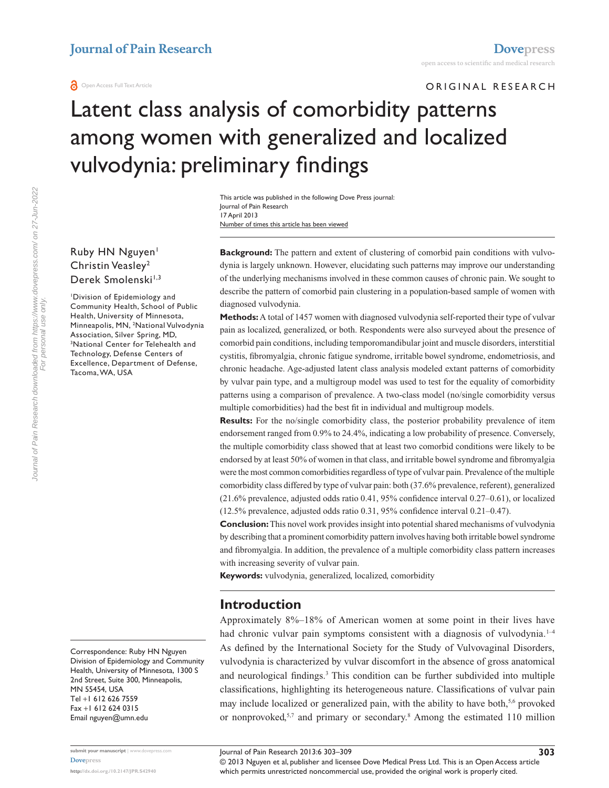ORIGINAL RESEARCH

# Latent class analysis of comorbidity patterns among women with generalized and localized vulvodynia: preliminary findings

Number of times this article has been viewed This article was published in the following Dove Press journal: Journal of Pain Research 17 April 2013

# Ruby HN Nguyen<sup>1</sup> Christin Veasley<sup>2</sup> Derek Smolenski<sup>1,3</sup>

1 Division of Epidemiology and Community Health, School of Public Health, University of Minnesota, Minneapolis, MN, 2 National Vulvodynia Association, Silver Spring, MD, 3 National Center for Telehealth and Technology, Defense Centers of Excellence, Department of Defense, Tacoma, WA, USA

Correspondence: Ruby HN Nguyen Division of Epidemiology and Community Health, University of Minnesota, 1300 S 2nd Street, Suite 300, Minneapolis, MN 55454, USA Tel +1 612 626 7559 Fax +1 612 624 0315 Email [nguyen@umn.edu](mailto:nguyen@umn.edu)

**submit your manuscript** | <www.dovepress.com> **[Dovepress](www.dovepress.com) <http://dx.doi.org./10.2147/JPR.S42940>**

**Background:** The pattern and extent of clustering of comorbid pain conditions with vulvodynia is largely unknown. However, elucidating such patterns may improve our understanding of the underlying mechanisms involved in these common causes of chronic pain. We sought to describe the pattern of comorbid pain clustering in a population-based sample of women with diagnosed vulvodynia.

#### **Methods:** A total of 1457 women with diagnosed vulvodynia self-reported their type of vulvar pain as localized, generalized, or both. Respondents were also surveyed about the presence of comorbid pain conditions, including temporomandibular joint and muscle disorders, interstitial cystitis, fibromyalgia, chronic fatigue syndrome, irritable bowel syndrome, endometriosis, and chronic headache. Age-adjusted latent class analysis modeled extant patterns of comorbidity by vulvar pain type, and a multigroup model was used to test for the equality of comorbidity patterns using a comparison of prevalence. A two-class model (no/single comorbidity versus multiple comorbidities) had the best fit in individual and multigroup models.

**Results:** For the no/single comorbidity class, the posterior probability prevalence of item endorsement ranged from 0.9% to 24.4%, indicating a low probability of presence. Conversely, the multiple comorbidity class showed that at least two comorbid conditions were likely to be endorsed by at least 50% of women in that class, and irritable bowel syndrome and fibromyalgia were the most common comorbidities regardless of type of vulvar pain. Prevalence of the multiple comorbidity class differed by type of vulvar pain: both (37.6% prevalence, referent), generalized (21.6% prevalence, adjusted odds ratio 0.41, 95% confidence interval 0.27–0.61), or localized (12.5% prevalence, adjusted odds ratio 0.31, 95% confidence interval 0.21–0.47).

**Conclusion:** This novel work provides insight into potential shared mechanisms of vulvodynia by describing that a prominent comorbidity pattern involves having both irritable bowel syndrome and fibromyalgia. In addition, the prevalence of a multiple comorbidity class pattern increases with increasing severity of vulvar pain.

**Keywords:** vulvodynia, generalized, localized, comorbidity

# **Introduction**

Approximately 8%–18% of American women at some point in their lives have had chronic vulvar pain symptoms consistent with a diagnosis of vulvodynia.<sup>1-4</sup> As defined by the International Society for the Study of Vulvovaginal Disorders, vulvodynia is characterized by vulvar discomfort in the absence of gross anatomical and neurological findings.<sup>3</sup> This condition can be further subdivided into multiple classifications, highlighting its heterogeneous nature. Classifications of vulvar pain may include localized or generalized pain, with the ability to have both, $5,6$  provoked or nonprovoked,<sup>5,7</sup> and primary or secondary.<sup>8</sup> Among the estimated 110 million

For personal use only.

© 2013 Nguyen et al, publisher and licensee Dove Medical Press Ltd. This is an Open Access article which permits unrestricted noncommercial use, provided the original work is properly cited.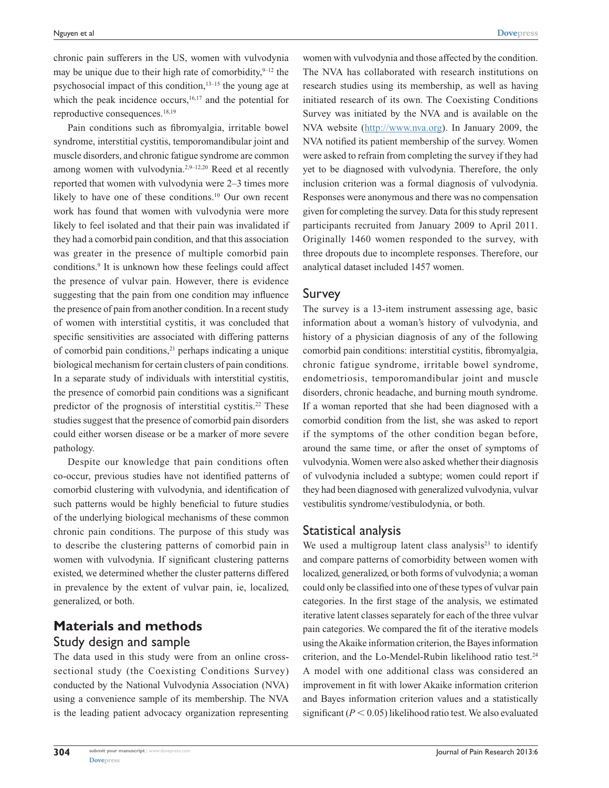chronic pain sufferers in the US, women with vulvodynia may be unique due to their high rate of comorbidity,  $9-12$  the psychosocial impact of this condition, $13-15$  the young age at which the peak incidence occurs, $16,17$  and the potential for reproductive consequences.18,19

Pain conditions such as fibromyalgia, irritable bowel syndrome, interstitial cystitis, temporomandibular joint and muscle disorders, and chronic fatigue syndrome are common among women with vulvodynia.<sup>2,9–12,20</sup> Reed et al recently reported that women with vulvodynia were 2–3 times more likely to have one of these conditions.<sup>10</sup> Our own recent work has found that women with vulvodynia were more likely to feel isolated and that their pain was invalidated if they had a comorbid pain condition, and that this association was greater in the presence of multiple comorbid pain conditions.9 It is unknown how these feelings could affect the presence of vulvar pain. However, there is evidence suggesting that the pain from one condition may influence the presence of pain from another condition. In a recent study of women with interstitial cystitis, it was concluded that specific sensitivities are associated with differing patterns of comorbid pain conditions,<sup>21</sup> perhaps indicating a unique biological mechanism for certain clusters of pain conditions. In a separate study of individuals with interstitial cystitis, the presence of comorbid pain conditions was a significant predictor of the prognosis of interstitial cystitis.<sup>22</sup> These studies suggest that the presence of comorbid pain disorders could either worsen disease or be a marker of more severe pathology.

Despite our knowledge that pain conditions often co-occur, previous studies have not identified patterns of comorbid clustering with vulvodynia, and identification of such patterns would be highly beneficial to future studies of the underlying biological mechanisms of these common chronic pain conditions. The purpose of this study was to describe the clustering patterns of comorbid pain in women with vulvodynia. If significant clustering patterns existed, we determined whether the cluster patterns differed in prevalence by the extent of vulvar pain, ie, localized, generalized, or both.

# **Materials and methods** Study design and sample

The data used in this study were from an online crosssectional study (the Coexisting Conditions Survey) conducted by the National Vulvodynia Association (NVA) using a convenience sample of its membership. The NVA is the leading patient advocacy organization representing

women with vulvodynia and those affected by the condition. The NVA has collaborated with research institutions on research studies using its membership, as well as having initiated research of its own. The Coexisting Conditions Survey was initiated by the NVA and is available on the NVA website (http:/[/www.nva.org\)](http://www.nva.org). In January 2009, the NVA notified its patient membership of the survey. Women were asked to refrain from completing the survey if they had yet to be diagnosed with vulvodynia. Therefore, the only inclusion criterion was a formal diagnosis of vulvodynia. Responses were anonymous and there was no compensation given for completing the survey. Data for this study represent participants recruited from January 2009 to April 2011. Originally 1460 women responded to the survey, with three dropouts due to incomplete responses. Therefore, our analytical dataset included 1457 women.

#### Survey

The survey is a 13-item instrument assessing age, basic information about a woman's history of vulvodynia, and history of a physician diagnosis of any of the following comorbid pain conditions: interstitial cystitis, fibromyalgia, chronic fatigue syndrome, irritable bowel syndrome, endometriosis, temporomandibular joint and muscle disorders, chronic headache, and burning mouth syndrome. If a woman reported that she had been diagnosed with a comorbid condition from the list, she was asked to report if the symptoms of the other condition began before, around the same time, or after the onset of symptoms of vulvodynia. Women were also asked whether their diagnosis of vulvodynia included a subtype; women could report if they had been diagnosed with generalized vulvodynia, vulvar vestibulitis syndrome/vestibulodynia, or both.

#### Statistical analysis

We used a multigroup latent class analysis<sup>23</sup> to identify and compare patterns of comorbidity between women with localized, generalized, or both forms of vulvodynia; a woman could only be classified into one of these types of vulvar pain categories. In the first stage of the analysis, we estimated iterative latent classes separately for each of the three vulvar pain categories. We compared the fit of the iterative models using the Akaike information criterion, the Bayes information criterion, and the Lo-Mendel-Rubin likelihood ratio test.<sup>24</sup> A model with one additional class was considered an improvement in fit with lower Akaike information criterion and Bayes information criterion values and a statistically significant  $(P < 0.05)$  likelihood ratio test. We also evaluated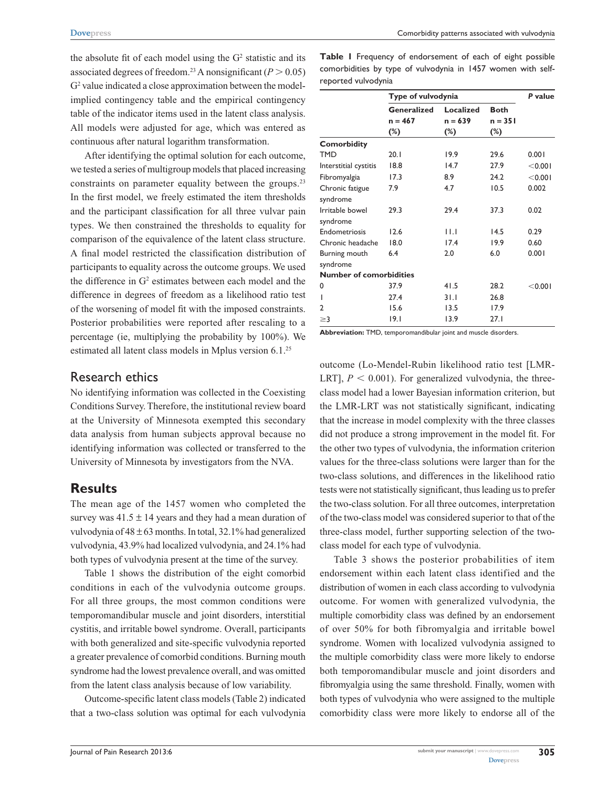the absolute fit of each model using the  $G<sup>2</sup>$  statistic and its associated degrees of freedom.<sup>23</sup> A nonsignificant ( $P > 0.05$ ) G2 value indicated a close approximation between the modelimplied contingency table and the empirical contingency table of the indicator items used in the latent class analysis. All models were adjusted for age, which was entered as continuous after natural logarithm transformation.

After identifying the optimal solution for each outcome, we tested a series of multigroup models that placed increasing constraints on parameter equality between the groups.<sup>23</sup> In the first model, we freely estimated the item thresholds and the participant classification for all three vulvar pain types. We then constrained the thresholds to equality for comparison of the equivalence of the latent class structure. A final model restricted the classification distribution of participants to equality across the outcome groups. We used the difference in  $G<sup>2</sup>$  estimates between each model and the difference in degrees of freedom as a likelihood ratio test of the worsening of model fit with the imposed constraints. Posterior probabilities were reported after rescaling to a percentage (ie, multiplying the probability by 100%). We estimated all latent class models in Mplus version 6.1.25

### Research ethics

No identifying information was collected in the Coexisting Conditions Survey. Therefore, the institutional review board at the University of Minnesota exempted this secondary data analysis from human subjects approval because no identifying information was collected or transferred to the University of Minnesota by investigators from the NVA.

# **Results**

The mean age of the 1457 women who completed the survey was  $41.5 \pm 14$  years and they had a mean duration of vulvodynia of  $48 \pm 63$  months. In total, 32.1% had generalized vulvodynia, 43.9% had localized vulvodynia, and 24.1% had both types of vulvodynia present at the time of the survey.

Table 1 shows the distribution of the eight comorbid conditions in each of the vulvodynia outcome groups. For all three groups, the most common conditions were temporomandibular muscle and joint disorders, interstitial cystitis, and irritable bowel syndrome. Overall, participants with both generalized and site-specific vulvodynia reported a greater prevalence of comorbid conditions. Burning mouth syndrome had the lowest prevalence overall, and was omitted from the latent class analysis because of low variability.

Outcome-specific latent class models (Table 2) indicated that a two-class solution was optimal for each vulvodynia **Table 1** Frequency of endorsement of each of eight possible comorbidities by type of vulvodynia in 1457 women with selfreported vulvodynia

|                                | Type of vulvodynia                 | P value                          |                                    |         |
|--------------------------------|------------------------------------|----------------------------------|------------------------------------|---------|
|                                | Generalized<br>$n = 467$<br>$(\%)$ | Localized<br>$n = 639$<br>$(\%)$ | <b>Both</b><br>$n = 351$<br>$(\%)$ |         |
| <b>Comorbidity</b>             |                                    |                                  |                                    |         |
| <b>TMD</b>                     | 20.1                               | 19.9                             | 29.6                               | 0.001   |
| Interstitial cystitis          | 18.8                               | 14.7                             | 27.9                               | < 0.001 |
| Fibromyalgia                   | 17.3                               | 8.9                              | 24.2                               | < 0.001 |
| Chronic fatigue<br>syndrome    | 7.9                                | 4.7                              | 10.5                               | 0.002   |
| Irritable bowel<br>syndrome    | 29.3                               | 29.4                             | 37.3                               | 0.02    |
| Endometriosis                  | 12.6                               | ШJ                               | 14.5                               | 0.29    |
| Chronic headache               | 18.0                               | 17.4                             | 19.9                               | 0.60    |
| Burning mouth                  | 6.4                                | 2.0                              | 6.0                                | 0.001   |
| syndrome                       |                                    |                                  |                                    |         |
| <b>Number of comorbidities</b> |                                    |                                  |                                    |         |
| 0                              | 37.9                               | 41.5                             | 28.2                               | < 0.001 |
| ı                              | 27.4                               | 31.1                             | 26.8                               |         |
| 2                              | 15.6                               | 13.5                             | 17.9                               |         |
| $\geq$ 3                       | 9.1                                | 13.9                             | 27.1                               |         |

**Abbreviation:** TMD, temporomandibular joint and muscle disorders.

outcome (Lo-Mendel-Rubin likelihood ratio test [LMR-LRT],  $P < 0.001$ ). For generalized vulvodynia, the threeclass model had a lower Bayesian information criterion, but the LMR-LRT was not statistically significant, indicating that the increase in model complexity with the three classes did not produce a strong improvement in the model fit. For the other two types of vulvodynia, the information criterion values for the three-class solutions were larger than for the two-class solutions, and differences in the likelihood ratio tests were not statistically significant, thus leading us to prefer the two-class solution. For all three outcomes, interpretation of the two-class model was considered superior to that of the three-class model, further supporting selection of the twoclass model for each type of vulvodynia.

Table 3 shows the posterior probabilities of item endorsement within each latent class identified and the distribution of women in each class according to vulvodynia outcome. For women with generalized vulvodynia, the multiple comorbidity class was defined by an endorsement of over 50% for both fibromyalgia and irritable bowel syndrome. Women with localized vulvodynia assigned to the multiple comorbidity class were more likely to endorse both temporomandibular muscle and joint disorders and fibromyalgia using the same threshold. Finally, women with both types of vulvodynia who were assigned to the multiple comorbidity class were more likely to endorse all of the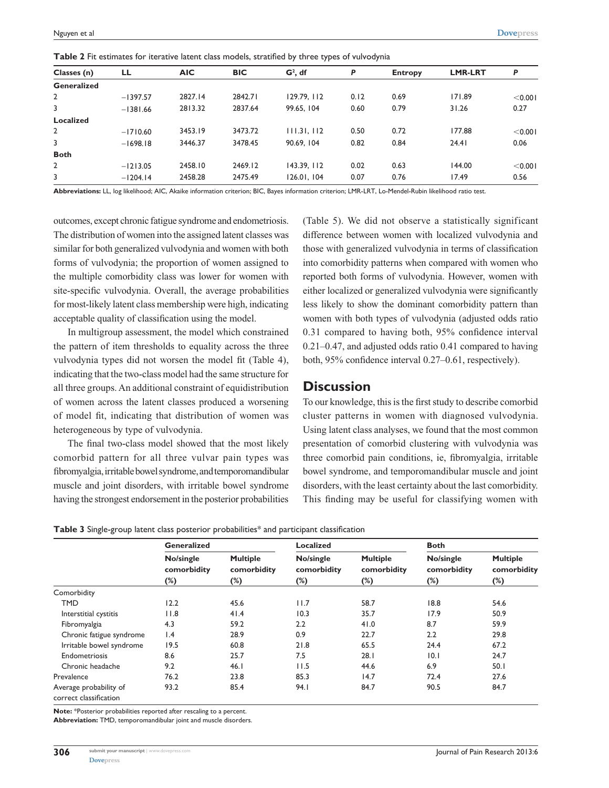| Classes (n)    | LL.        | <b>AIC</b> | <b>BIC</b> | $G2$ , df   | P    | <b>Entropy</b> | <b>LMR-LRT</b> | P       |
|----------------|------------|------------|------------|-------------|------|----------------|----------------|---------|
| Generalized    |            |            |            |             |      |                |                |         |
| $\overline{2}$ | $-1397.57$ | 2827.14    | 2842.71    | 129.79, 112 | 0.12 | 0.69           | 171.89         | < 0.001 |
| 3              | $-1381.66$ | 2813.32    | 2837.64    | 99.65, 104  | 0.60 | 0.79           | 31.26          | 0.27    |
| Localized      |            |            |            |             |      |                |                |         |
| $\overline{2}$ | $-1710.60$ | 3453.19    | 3473.72    | 111.31, 112 | 0.50 | 0.72           | 177.88         | < 0.001 |
| 3              | $-1698.18$ | 3446.37    | 3478.45    | 90.69, 104  | 0.82 | 0.84           | 24.41          | 0.06    |
| <b>Both</b>    |            |            |            |             |      |                |                |         |
| $\overline{2}$ | $-1213.05$ | 2458.10    | 2469.12    | 143.39, 112 | 0.02 | 0.63           | 144.00         | < 0.001 |
| 3              | $-1204.14$ | 2458.28    | 2475.49    | 126.01, 104 | 0.07 | 0.76           | 17.49          | 0.56    |

**Abbreviations:** LL, log likelihood; AIC, Akaike information criterion; BIC, Bayes information criterion; LMR-LRT, Lo-Mendel-Rubin likelihood ratio test.

outcomes, except chronic fatigue syndrome and endometriosis. The distribution of women into the assigned latent classes was similar for both generalized vulvodynia and women with both forms of vulvodynia; the proportion of women assigned to the multiple comorbidity class was lower for women with site-specific vulvodynia. Overall, the average probabilities for most-likely latent class membership were high, indicating acceptable quality of classification using the model.

In multigroup assessment, the model which constrained the pattern of item thresholds to equality across the three vulvodynia types did not worsen the model fit (Table 4), indicating that the two-class model had the same structure for all three groups. An additional constraint of equidistribution of women across the latent classes produced a worsening of model fit, indicating that distribution of women was heterogeneous by type of vulvodynia.

The final two-class model showed that the most likely comorbid pattern for all three vulvar pain types was fibromyalgia, irritable bowel syndrome, and temporomandibular muscle and joint disorders, with irritable bowel syndrome having the strongest endorsement in the posterior probabilities (Table 5). We did not observe a statistically significant difference between women with localized vulvodynia and those with generalized vulvodynia in terms of classification into comorbidity patterns when compared with women who reported both forms of vulvodynia. However, women with either localized or generalized vulvodynia were significantly less likely to show the dominant comorbidity pattern than women with both types of vulvodynia (adjusted odds ratio 0.31 compared to having both, 95% confidence interval 0.21–0.47, and adjusted odds ratio 0.41 compared to having both, 95% confidence interval 0.27–0.61, respectively).

## **Discussion**

To our knowledge, this is the first study to describe comorbid cluster patterns in women with diagnosed vulvodynia. Using latent class analyses, we found that the most common presentation of comorbid clustering with vulvodynia was three comorbid pain conditions, ie, fibromyalgia, irritable bowel syndrome, and temporomandibular muscle and joint disorders, with the least certainty about the last comorbidity. This finding may be useful for classifying women with

|  |  | Table 3 Single-group latent class posterior probabilities* and participant classification |  |  |  |  |  |  |
|--|--|-------------------------------------------------------------------------------------------|--|--|--|--|--|--|
|--|--|-------------------------------------------------------------------------------------------|--|--|--|--|--|--|

|                                                  | Generalized                     |                                          | Localized                       |                                       | <b>Both</b>                     |                                          |
|--------------------------------------------------|---------------------------------|------------------------------------------|---------------------------------|---------------------------------------|---------------------------------|------------------------------------------|
|                                                  | No/single<br>comorbidity<br>(%) | <b>Multiple</b><br>comorbidity<br>$(\%)$ | No/single<br>comorbidity<br>(%) | <b>Multiple</b><br>comorbidity<br>(%) | No/single<br>comorbidity<br>(%) | <b>Multiple</b><br>comorbidity<br>$(\%)$ |
| Comorbidity                                      |                                 |                                          |                                 |                                       |                                 |                                          |
| <b>TMD</b>                                       | 12.2                            | 45.6                                     | 11.7                            | 58.7                                  | 18.8                            | 54.6                                     |
| Interstitial cystitis                            | 11.8                            | 41.4                                     | 10.3                            | 35.7                                  | 17.9                            | 50.9                                     |
| Fibromyalgia                                     | 4.3                             | 59.2                                     | 2.2                             | 41.0                                  | 8.7                             | 59.9                                     |
| Chronic fatigue syndrome                         | $\mathsf{I}$ .4                 | 28.9                                     | 0.9                             | 22.7                                  | 2.2                             | 29.8                                     |
| Irritable bowel syndrome                         | 19.5                            | 60.8                                     | 21.8                            | 65.5                                  | 24.4                            | 67.2                                     |
| <b>Endometriosis</b>                             | 8.6                             | 25.7                                     | 7.5                             | 28.1                                  | 0.1                             | 24.7                                     |
| Chronic headache                                 | 9.2                             | 46.1                                     | 11.5                            | 44.6                                  | 6.9                             | 50.1                                     |
| Prevalence                                       | 76.2                            | 23.8                                     | 85.3                            | 14.7                                  | 72.4                            | 27.6                                     |
| Average probability of<br>correct classification | 93.2                            | 85.4                                     | 94.1                            | 84.7                                  | 90.5                            | 84.7                                     |

**Note:** \*Posterior probabilities reported after rescaling to a percent.

**Abbreviation:** TMD, temporomandibular joint and muscle disorders.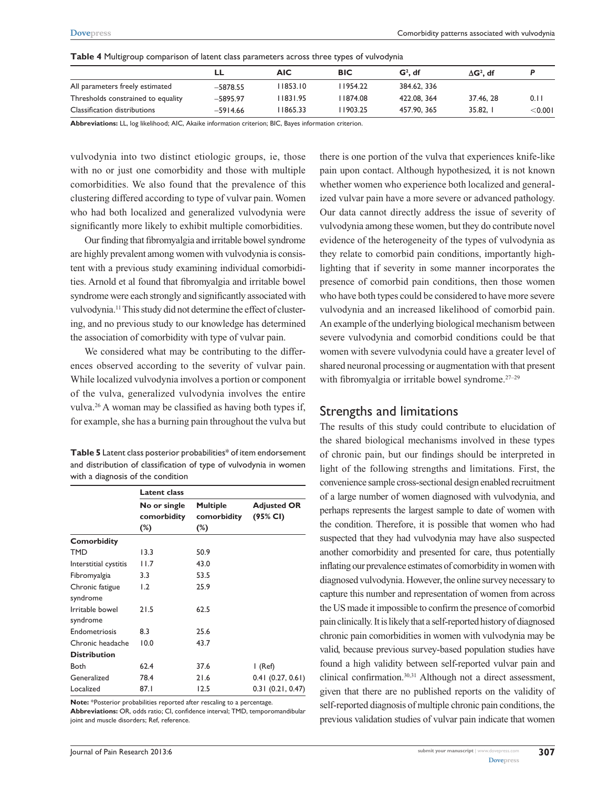| Table 4 Multigroup comparison of latent class parameters across three types of vulvodynia |  |
|-------------------------------------------------------------------------------------------|--|
|-------------------------------------------------------------------------------------------|--|

|                                    |            | <b>AIC</b> | BIC      | $G2$ , df   | $\Delta G^2$ , df |           |
|------------------------------------|------------|------------|----------|-------------|-------------------|-----------|
| All parameters freely estimated    | $-5878.55$ | 11853.10   | 1954.22  | 384.62, 336 |                   |           |
| Thresholds constrained to equality | $-5895.97$ | 11831.95   | 11874.08 | 422.08.364  | 37.46, 28         | 0.11      |
| Classification distributions       | $-5914.66$ | 1865.33    | 1903.25  | 457.90, 365 | 35.82.            | $<$ 0.001 |

**Abbreviations:** LL, log likelihood; AIC, Akaike information criterion; BIC, Bayes information criterion.

vulvodynia into two distinct etiologic groups, ie, those with no or just one comorbidity and those with multiple comorbidities. We also found that the prevalence of this clustering differed according to type of vulvar pain. Women who had both localized and generalized vulvodynia were significantly more likely to exhibit multiple comorbidities.

Our finding that fibromyalgia and irritable bowel syndrome are highly prevalent among women with vulvodynia is consistent with a previous study examining individual comorbidities. Arnold et al found that fibromyalgia and irritable bowel syndrome were each strongly and significantly associated with vulvodynia.11 This study did not determine the effect of clustering, and no previous study to our knowledge has determined the association of comorbidity with type of vulvar pain.

We considered what may be contributing to the differences observed according to the severity of vulvar pain. While localized vulvodynia involves a portion or component of the vulva, generalized vulvodynia involves the entire vulva.26 A woman may be classified as having both types if, for example, she has a burning pain throughout the vulva but

**Table 5** Latent class posterior probabilities\* of item endorsement and distribution of classification of type of vulvodynia in women with a diagnosis of the condition

|                             | <b>Latent class</b>                   |                                          |                                |
|-----------------------------|---------------------------------------|------------------------------------------|--------------------------------|
|                             | No or single<br>comorbidity<br>$(\%)$ | <b>Multiple</b><br>comorbidity<br>$(\%)$ | <b>Adjusted OR</b><br>(95% CI) |
| <b>Comorbidity</b>          |                                       |                                          |                                |
| TMD                         | 13.3                                  | 50.9                                     |                                |
| Interstitial cystitis       | 11.7                                  | 43.0                                     |                                |
| Fibromyalgia                | 3.3                                   | 53.5                                     |                                |
| Chronic fatigue<br>syndrome | 1.2                                   | 25.9                                     |                                |
| Irritable bowel<br>syndrome | 21.5                                  | 62.5                                     |                                |
| Endometriosis               | 8.3                                   | 25.6                                     |                                |
| Chronic headache            | 10.0                                  | 43.7                                     |                                |
| <b>Distribution</b>         |                                       |                                          |                                |
| Both                        | 62.4                                  | 37.6                                     | $\mathsf{I}$ (Ref)             |
| Generalized                 | 78.4                                  | 21.6                                     | 0.41(0.27, 0.61)               |
| Localized                   | 87.I                                  | 12.5                                     | 0.31(0.21, 0.47)               |

**Note:** \*Posterior probabilities reported after rescaling to a percentage.

**Abbreviations:** OR, odds ratio; CI, confidence interval; TMD, temporomandibular joint and muscle disorders; Ref, reference.

there is one portion of the vulva that experiences knife-like pain upon contact. Although hypothesized, it is not known whether women who experience both localized and generalized vulvar pain have a more severe or advanced pathology. Our data cannot directly address the issue of severity of vulvodynia among these women, but they do contribute novel evidence of the heterogeneity of the types of vulvodynia as they relate to comorbid pain conditions, importantly highlighting that if severity in some manner incorporates the presence of comorbid pain conditions, then those women who have both types could be considered to have more severe vulvodynia and an increased likelihood of comorbid pain. An example of the underlying biological mechanism between severe vulvodynia and comorbid conditions could be that women with severe vulvodynia could have a greater level of shared neuronal processing or augmentation with that present with fibromyalgia or irritable bowel syndrome.<sup>27-29</sup>

### Strengths and limitations

The results of this study could contribute to elucidation of the shared biological mechanisms involved in these types of chronic pain, but our findings should be interpreted in light of the following strengths and limitations. First, the convenience sample cross-sectional design enabled recruitment of a large number of women diagnosed with vulvodynia, and perhaps represents the largest sample to date of women with the condition. Therefore, it is possible that women who had suspected that they had vulvodynia may have also suspected another comorbidity and presented for care, thus potentially inflating our prevalence estimates of comorbidity in women with diagnosed vulvodynia. However, the online survey necessary to capture this number and representation of women from across the US made it impossible to confirm the presence of comorbid pain clinically. It is likely that a self-reported history of diagnosed chronic pain comorbidities in women with vulvodynia may be valid, because previous survey-based population studies have found a high validity between self-reported vulvar pain and clinical confirmation.30,31 Although not a direct assessment, given that there are no published reports on the validity of self-reported diagnosis of multiple chronic pain conditions, the previous validation studies of vulvar pain indicate that women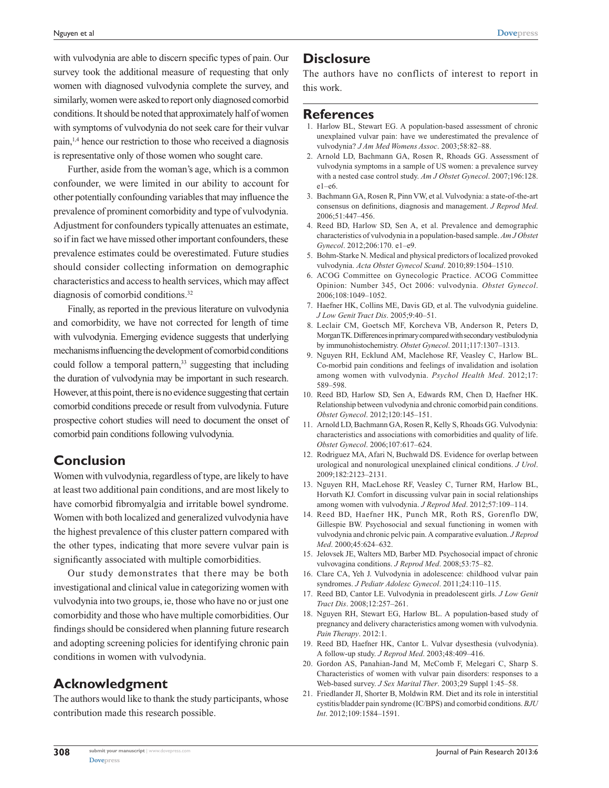with vulvodynia are able to discern specific types of pain. Our survey took the additional measure of requesting that only women with diagnosed vulvodynia complete the survey, and similarly, women were asked to report only diagnosed comorbid conditions. It should be noted that approximately half of women

with symptoms of vulvodynia do not seek care for their vulvar pain,1,4 hence our restriction to those who received a diagnosis is representative only of those women who sought care.

Further, aside from the woman's age, which is a common confounder, we were limited in our ability to account for other potentially confounding variables that may influence the prevalence of prominent comorbidity and type of vulvodynia. Adjustment for confounders typically attenuates an estimate, so if in fact we have missed other important confounders, these prevalence estimates could be overestimated. Future studies should consider collecting information on demographic characteristics and access to health services, which may affect diagnosis of comorbid conditions.<sup>32</sup>

Finally, as reported in the previous literature on vulvodynia and comorbidity, we have not corrected for length of time with vulvodynia. Emerging evidence suggests that underlying mechanisms influencing the development of comorbid conditions could follow a temporal pattern,<sup>33</sup> suggesting that including the duration of vulvodynia may be important in such research. However, at this point, there is no evidence suggesting that certain comorbid conditions precede or result from vulvodynia. Future prospective cohort studies will need to document the onset of comorbid pain conditions following vulvodynia.

# **Conclusion**

Women with vulvodynia, regardless of type, are likely to have at least two additional pain conditions, and are most likely to have comorbid fibromyalgia and irritable bowel syndrome. Women with both localized and generalized vulvodynia have the highest prevalence of this cluster pattern compared with the other types, indicating that more severe vulvar pain is significantly associated with multiple comorbidities.

Our study demonstrates that there may be both investigational and clinical value in categorizing women with vulvodynia into two groups, ie, those who have no or just one comorbidity and those who have multiple comorbidities. Our findings should be considered when planning future research and adopting screening policies for identifying chronic pain conditions in women with vulvodynia.

# **Acknowledgment**

The authors would like to thank the study participants, whose contribution made this research possible.

## **Disclosure**

The authors have no conflicts of interest to report in this work.

#### **References**

- 1. Harlow BL, Stewart EG. A population-based assessment of chronic unexplained vulvar pain: have we underestimated the prevalence of vulvodynia? *J Am Med Womens Assoc*. 2003;58:82–88.
- 2. Arnold LD, Bachmann GA, Rosen R, Rhoads GG. Assessment of vulvodynia symptoms in a sample of US women: a prevalence survey with a nested case control study. *Am J Obstet Gynecol*. 2007;196:128. e1–e6.
- 3. Bachmann GA, Rosen R, Pinn VW, et al. Vulvodynia: a state-of-the-art consensus on definitions, diagnosis and management. *J Reprod Med*. 2006;51:447–456.
- 4. Reed BD, Harlow SD, Sen A, et al. Prevalence and demographic characteristics of vulvodynia in a population-based sample. *Am J Obstet Gynecol*. 2012;206:170. e1–e9.
- 5. Bohm-Starke N. Medical and physical predictors of localized provoked vulvodynia. *Acta Obstet Gynecol Scand*. 2010;89:1504–1510.
- 6. ACOG Committee on Gynecologic Practice. ACOG Committee Opinion: Number 345, Oct 2006: vulvodynia. *Obstet Gynecol*. 2006;108:1049–1052.
- 7. Haefner HK, Collins ME, Davis GD, et al. The vulvodynia guideline. *J Low Genit Tract Dis*. 2005;9:40–51.
- 8. Leclair CM, Goetsch MF, Korcheva VB, Anderson R, Peters D, Morgan TK. Differences in primary compared with secondary vestibulodynia by immunohistochemistry. *Obstet Gynecol*. 2011;117:1307–1313.
- 9. Nguyen RH, Ecklund AM, Maclehose RF, Veasley C, Harlow BL. Co-morbid pain conditions and feelings of invalidation and isolation among women with vulvodynia. *Psychol Health Med*. 2012;17: 589–598.
- 10. Reed BD, Harlow SD, Sen A, Edwards RM, Chen D, Haefner HK. Relationship between vulvodynia and chronic comorbid pain conditions. *Obstet Gynecol*. 2012;120:145–151.
- 11. Arnold LD, Bachmann GA, Rosen R, Kelly S, Rhoads GG. Vulvodynia: characteristics and associations with comorbidities and quality of life. *Obstet Gynecol*. 2006;107:617–624.
- 12. Rodriguez MA, Afari N, Buchwald DS. Evidence for overlap between urological and nonurological unexplained clinical conditions. *J Urol*. 2009;182:2123–2131.
- 13. Nguyen RH, MacLehose RF, Veasley C, Turner RM, Harlow BL, Horvath KJ. Comfort in discussing vulvar pain in social relationships among women with vulvodynia. *J Reprod Med*. 2012;57:109–114.
- 14. Reed BD, Haefner HK, Punch MR, Roth RS, Gorenflo DW, Gillespie BW. Psychosocial and sexual functioning in women with vulvodynia and chronic pelvic pain. A comparative evaluation. *J Reprod Med*. 2000;45:624–632.
- 15. Jelovsek JE, Walters MD, Barber MD. Psychosocial impact of chronic vulvovagina conditions. *J Reprod Med*. 2008;53:75–82.
- 16. Clare CA, Yeh J. Vulvodynia in adolescence: childhood vulvar pain syndromes. *J Pediatr Adolesc Gynecol*. 2011;24:110–115.
- 17. Reed BD, Cantor LE. Vulvodynia in preadolescent girls. *J Low Genit Tract Dis*. 2008;12:257–261.
- 18. Nguyen RH, Stewart EG, Harlow BL. A population-based study of pregnancy and delivery characteristics among women with vulvodynia. *Pain Therapy*. 2012:1.
- 19. Reed BD, Haefner HK, Cantor L. Vulvar dysesthesia (vulvodynia). A follow-up study. *J Reprod Med*. 2003;48:409–416.
- 20. Gordon AS, Panahian-Jand M, McComb F, Melegari C, Sharp S. Characteristics of women with vulvar pain disorders: responses to a Web-based survey. *J Sex Marital Ther*. 2003;29 Suppl 1:45–58.
- 21. Friedlander JI, Shorter B, Moldwin RM. Diet and its role in interstitial cystitis/bladder pain syndrome (IC/BPS) and comorbid conditions. *BJU Int*. 2012;109:1584–1591.